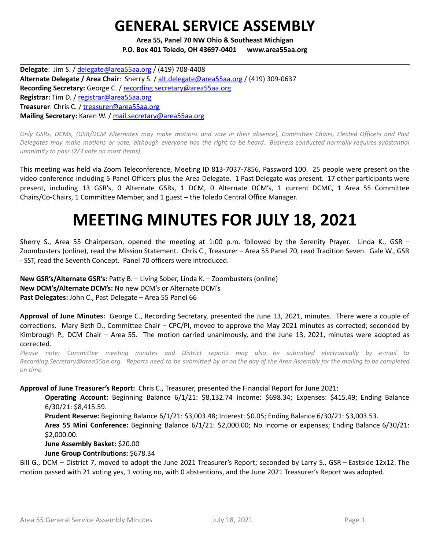## **GENERAL SERVICE ASSEMBLY**

**Area 55, Panel 70 NW Ohio & Southeast Michigan P.O. Box 401 Toledo, OH 43697-0401 www.area55aa.org**

**Delegate**: Jim S. / [delegate@area55aa.org](mailto:delegate@area55aa.org) / (419) 708-4408 **Alternate Delegate / Area Chair**: Sherry S. / [alt.delegate@area55aa.org](mailto:alt.delegate@area55aa.org) / (419) 309-0637 **Recording Secretary:** George C. / [recording.secretary@area55aa.org](mailto:recording.secretary@area55aa.org) **Registrar:** Tim D. / [registrar@area55aa.org](mailto:recording.secretary@area55aa.org) **Treasurer**: Chris C. / [treasurer@area55aa.org](mailto:recording.secretary@area55aa.org) **Mailing Secretary:** Karen W. / [mail.secretary@area55aa.org](mailto:recording.secretary@area55aa.org)

Only GSRs, DCMs, (GSR/DCM Alternates may make motions and vote in their absence), Committee Chairs, Elected Officers and Past Delegates may make motions or vote, although everyone has the right to be heard. Business conducted normally requires substantial *unanimity to pass (2/3 vote on most items).*

This meeting was held via Zoom Teleconference, Meeting ID 813-7037-7856, Password 100. 25 people were present on the video conference including 5 Panel Officers plus the Area Delegate. 1 Past Delegate was present. 17 other participants were present, including 13 GSR's, 0 Alternate GSRs, 1 DCM, 0 Alternate DCM's, 1 current DCMC, 1 Area 55 Committee Chairs/Co-Chairs, 1 Committee Member, and 1 guest – the Toledo Central Office Manager.

# **MEETING MINUTES FOR JULY 18, 2021**

Sherry S., Area 55 Chairperson, opened the meeting at 1:00 p.m. followed by the Serenity Prayer. Linda K., GSR – Zoombusters (online), read the Mission Statement. Chris C., Treasurer – Area 55 Panel 70, read Tradition Seven. Gale W., GSR - SST, read the Seventh Concept. Panel 70 officers were introduced.

**New GSR's/Alternate GSR's:** Patty B. – Living Sober, Linda K. – Zoombusters (online) **New DCM's/Alternate DCM's:** No new DCM's or Alternate DCM's **Past Delegates:** John C., Past Delegate – Area 55 Panel 66

**Approval of June Minutes:** George C., Recording Secretary, presented the June 13, 2021, minutes. There were a couple of corrections. Mary Beth D., Committee Chair – CPC/PI, moved to approve the May 2021 minutes as corrected; seconded by Kimbrough P., DCM Chair – Area 55. The motion carried unanimously, and the June 13, 2021, minutes were adopted as corrected.

*Please note: Committee meeting minutes and District reports may also be submitted electronically by e-mail to* Recording.Secretary@area55aa.org. Reports need to be submitted by or on the day of the Area Assembly for the mailing to be completed *on time.*

**Approval of June Treasurer's Report:** Chris C., Treasurer, presented the Financial Report for June 2021:

**Operating Account:** Beginning Balance 6/1/21: \$8,132.74 Income: \$698.34; Expenses: \$415.49; Ending Balance 6/30/21: \$8,415.59.

**Prudent Reserve:** Beginning Balance 6/1/21: \$3,003.48; Interest: \$0.05; Ending Balance 6/30/21: \$3,003.53. **Area 55 Mini Conference:** Beginning Balance 6/1/21: \$2,000.00; No income or expenses; Ending Balance 6/30/21: \$2,000.00.

**June Assembly Basket:** \$20.00

**June Group Contributions:** \$678.34

Bill G., DCM – District 7, moved to adopt the June 2021 Treasurer's Report; seconded by Larry S., GSR – Eastside 12x12. The motion passed with 21 voting yes, 1 voting no, with 0 abstentions, and the June 2021 Treasurer's Report was adopted.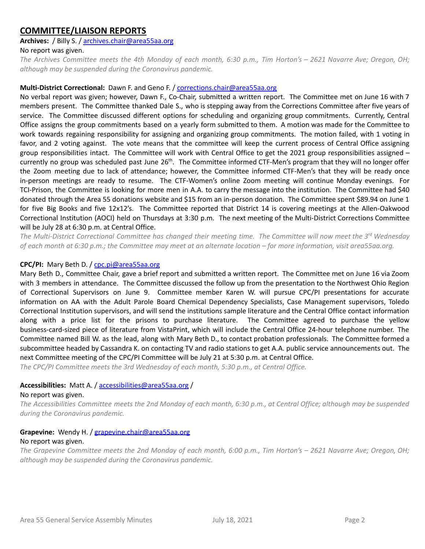## **COMMITTEE/LIAISON REPORTS**

## **Archives:** / Billy S. / [archives.chair@area55aa.org](mailto:archives.chair@area55aa.org)

#### No report was given.

The Archives Committee meets the 4th Monday of each month, 6:30 p.m., Tim Horton's - 2621 Navarre Ave; Oregon, OH; *although may be suspended during the Coronavirus pandemic.*

#### **Multi-District Correctional:** Dawn F. and Geno F. / corrections.chair@area55aa.org

No verbal report was given; however, Dawn F., Co-Chair, submitted a written report. The Committee met on June 16 with 7 members present. The Committee thanked Dale S., who is stepping away from the Corrections Committee after five years of service. The Committee discussed different options for scheduling and organizing group commitments. Currently, Central Office assigns the group commitments based on a yearly form submitted to them. A motion was made for the Committee to work towards regaining responsibility for assigning and organizing group commitments. The motion failed, with 1 voting in favor, and 2 voting against. The vote means that the committee will keep the current process of Central Office assigning group responsibilities intact. The Committee will work with Central Office to get the 2021 group responsibilities assigned – currently no group was scheduled past June 26<sup>th</sup>. The Committee informed CTF-Men's program that they will no longer offer the Zoom meeting due to lack of attendance; however, the Committee informed CTF-Men's that they will be ready once in-person meetings are ready to resume. The CTF-Women's online Zoom meeting will continue Monday evenings. For TCI-Prison, the Committee is looking for more men in A.A. to carry the message into the institution. The Committee had \$40 donated through the Area 55 donations website and \$15 from an in-person donation. The Committee spent \$89.94 on June 1 for five Big Books and five 12x12's. The Committee reported that District 14 is covering meetings at the Allen-Oakwood Correctional Institution (AOCI) held on Thursdays at 3:30 p.m. The next meeting of the Multi-District Corrections Committee will be July 28 at 6:30 p.m. at Central Office.

The Multi-District Correctional Committee has changed their meeting time. The Committee will now meet the 3rd Wednesday of each month at 6:30 p.m.; the Committee may meet at an alternate location – for more information, visit area55aa.org.

#### **CPC/PI:** Mary Beth D. / [cpc.pi@area55aa.org](mailto:cpc.pi@area55aa.org)

Mary Beth D., Committee Chair, gave a brief report and submitted a written report. The Committee met on June 16 via Zoom with 3 members in attendance. The Committee discussed the follow up from the presentation to the Northwest Ohio Region of Correctional Supervisors on June 9. Committee member Karen W. will pursue CPC/PI presentations for accurate information on AA with the Adult Parole Board Chemical Dependency Specialists, Case Management supervisors, Toledo Correctional Institution supervisors, and will send the institutions sample literature and the Central Office contact information along with a price list for the prisons to purchase literature. The Committee agreed to purchase the yellow business-card-sized piece of literature from VistaPrint, which will include the Central Office 24-hour telephone number. The Committee named Bill W. as the lead, along with Mary Beth D., to contact probation professionals. The Committee formed a subcommittee headed by Cassandra K. on contacting TV and radio stations to get A.A. public service announcements out. The next Committee meeting of the CPC/PI Committee will be July 21 at 5:30 p.m. at Central Office.

*The CPC/PI Committee meets the 3rd Wednesday of each month, 5:30 p.m., at Central Office.*

#### **Accessibilities:** Matt A. / [accessibilities@area55aa.org](mailto:accessibilities@area55aa.org) /

#### No report was given.

The Accessibilities Committee meets the 2nd Monday of each month, 6:30 p.m., at Central Office; although may be suspended *during the Coronavirus pandemic.*

#### **Grapevine:** Wendy H. / [grapevine.chair@area55aa.org](mailto:grapevine.chair@area55aa.org) No report was given.

The Grapevine Committee meets the 2nd Monday of each month, 6:00 p.m., Tim Horton's - 2621 Navarre Ave; Oregon, OH; *although may be suspended during the Coronavirus pandemic.*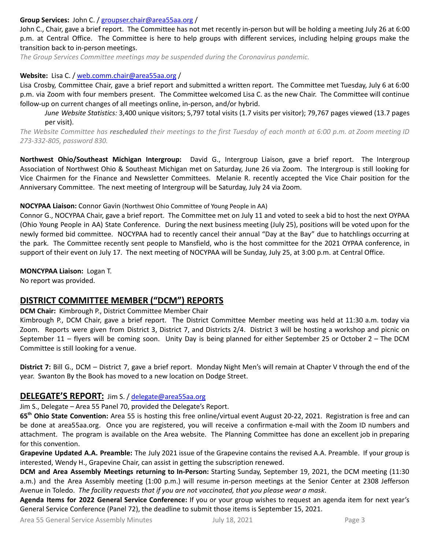#### **Group Services:** John C. / [groupser.chair@area55aa.org](mailto:groupser.chair@area55aa.org) /

John C., Chair, gave a brief report. The Committee has not met recently in-person but will be holding a meeting July 26 at 6:00 p.m. at Central Office. The Committee is here to help groups with different services, including helping groups make the transition back to in-person meetings.

*The Group Services Committee meetings may be suspended during the Coronavirus pandemic.*

#### **Website:** Lisa C. / [web.comm.chair@area55aa.org](mailto:web.comm.chair@area55aa.org) /

Lisa Crosby, Committee Chair, gave a brief report and submitted a written report. The Committee met Tuesday, July 6 at 6:00 p.m. via Zoom with four members present. The Committee welcomed Lisa C. as the new Chair. The Committee will continue follow-up on current changes of all meetings online, in-person, and/or hybrid.

*June Website Statistics:* 3,400 unique visitors; 5,797 total visits (1.7 visits per visitor); 79,767 pages viewed (13.7 pages per visit).

The Website Committee has rescheduled their meetings to the first Tuesday of each month at 6:00 p.m. at Zoom meeting ID *273-332-805, password 830.*

**Northwest Ohio/Southeast Michigan Intergroup:** David G., Intergroup Liaison, gave a brief report. The Intergroup Association of Northwest Ohio & Southeast Michigan met on Saturday, June 26 via Zoom. The Intergroup is still looking for Vice Chairmen for the Finance and Newsletter Committees. Melanie R. recently accepted the Vice Chair position for the Anniversary Committee. The next meeting of Intergroup will be Saturday, July 24 via Zoom.

#### **NOCYPAA Liaison:** Connor Gavin (Northwest Ohio Committee of Young People in AA)

Connor G., NOCYPAA Chair, gave a brief report. The Committee met on July 11 and voted to seek a bid to host the next OYPAA (Ohio Young People in AA) State Conference. During the next business meeting (July 25), positions will be voted upon for the newly formed bid committee. NOCYPAA had to recently cancel their annual "Day at the Bay" due to hatchlings occurring at the park. The Committee recently sent people to Mansfield, who is the host committee for the 2021 OYPAA conference, in support of their event on July 17. The next meeting of NOCYPAA will be Sunday, July 25, at 3:00 p.m. at Central Office.

**MONCYPAA Liaison:** Logan T.

No report was provided.

## **DISTRICT COMMITTEE MEMBER ("DCM") REPORTS**

**DCM Chair:** Kimbrough P., District Committee Member Chair

Kimbrough P., DCM Chair, gave a brief report. The District Committee Member meeting was held at 11:30 a.m. today via Zoom. Reports were given from District 3, District 7, and Districts 2/4. District 3 will be hosting a workshop and picnic on September 11 – flyers will be coming soon. Unity Day is being planned for either September 25 or October 2 – The DCM Committee is still looking for a venue.

**District 7:** Bill G., DCM – District 7, gave a brief report. Monday Night Men's will remain at Chapter V through the end of the year. Swanton By the Book has moved to a new location on Dodge Street.

## **DELEGATE'S REPORT:** Jim S. / [delegate@area55aa.org](mailto:delegate@area55aa.org)

Jim S., Delegate – Area 55 Panel 70, provided the Delegate's Report.

**65 th Ohio State Convention:** Area 55 is hosting this free online/virtual event August 20-22, 2021. Registration is free and can be done at area55aa.org. Once you are registered, you will receive a confirmation e-mail with the Zoom ID numbers and attachment. The program is available on the Area website. The Planning Committee has done an excellent job in preparing for this convention.

**Grapevine Updated A.A. Preamble:** The July 2021 issue of the Grapevine contains the revised A.A. Preamble. If your group is interested, Wendy H., Grapevine Chair, can assist in getting the subscription renewed.

**DCM and Area Assembly Meetings returning to In-Person:** Starting Sunday, September 19, 2021, the DCM meeting (11:30 a.m.) and the Area Assembly meeting (1:00 p.m.) will resume in-person meetings at the Senior Center at 2308 Jefferson Avenue in Toledo. *The facility requests that if you are not vaccinated, that you please wear a mask*.

**Agenda Items for 2022 General Service Conference:** If you or your group wishes to request an agenda item for next year's General Service Conference (Panel 72), the deadline to submit those items is September 15, 2021.